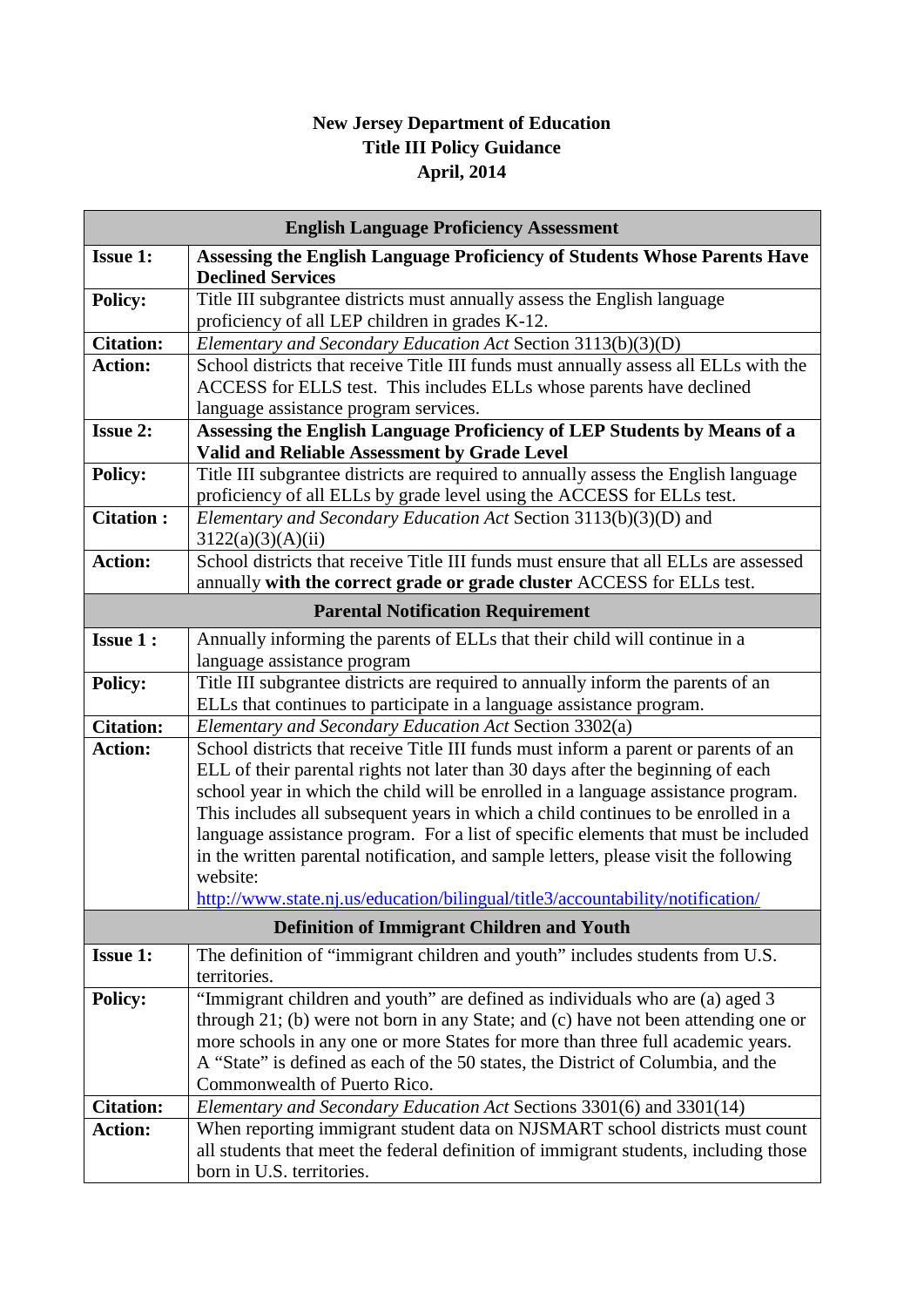## **New Jersey Department of Education Title III Policy Guidance April, 2014**

| <b>English Language Proficiency Assessment</b>    |                                                                                                                   |
|---------------------------------------------------|-------------------------------------------------------------------------------------------------------------------|
| <b>Issue 1:</b>                                   | Assessing the English Language Proficiency of Students Whose Parents Have                                         |
|                                                   | <b>Declined Services</b>                                                                                          |
| <b>Policy:</b>                                    | Title III subgrantee districts must annually assess the English language                                          |
|                                                   | proficiency of all LEP children in grades K-12.                                                                   |
| <b>Citation:</b>                                  | Elementary and Secondary Education Act Section 3113(b)(3)(D)                                                      |
| <b>Action:</b>                                    | School districts that receive Title III funds must annually assess all ELLs with the                              |
|                                                   | ACCESS for ELLS test. This includes ELLs whose parents have declined                                              |
|                                                   | language assistance program services.                                                                             |
| <b>Issue 2:</b>                                   | Assessing the English Language Proficiency of LEP Students by Means of a                                          |
|                                                   | Valid and Reliable Assessment by Grade Level                                                                      |
| <b>Policy:</b>                                    | Title III subgrantee districts are required to annually assess the English language                               |
|                                                   | proficiency of all ELLs by grade level using the ACCESS for ELLs test.                                            |
| <b>Citation:</b>                                  | Elementary and Secondary Education Act Section 3113(b)(3)(D) and                                                  |
|                                                   | 3122(a)(3)(A)(ii)                                                                                                 |
| <b>Action:</b>                                    | School districts that receive Title III funds must ensure that all ELLs are assessed                              |
|                                                   | annually with the correct grade or grade cluster ACCESS for ELLs test.                                            |
| <b>Parental Notification Requirement</b>          |                                                                                                                   |
| <b>Issue 1:</b>                                   | Annually informing the parents of ELLs that their child will continue in a                                        |
|                                                   | language assistance program                                                                                       |
| <b>Policy:</b>                                    | Title III subgrantee districts are required to annually inform the parents of an                                  |
|                                                   | ELLs that continues to participate in a language assistance program.                                              |
| <b>Citation:</b>                                  | Elementary and Secondary Education Act Section 3302(a)                                                            |
| <b>Action:</b>                                    | School districts that receive Title III funds must inform a parent or parents of an                               |
|                                                   | ELL of their parental rights not later than 30 days after the beginning of each                                   |
|                                                   | school year in which the child will be enrolled in a language assistance program.                                 |
|                                                   | This includes all subsequent years in which a child continues to be enrolled in a                                 |
|                                                   | language assistance program. For a list of specific elements that must be included                                |
|                                                   | in the written parental notification, and sample letters, please visit the following                              |
|                                                   | website:                                                                                                          |
|                                                   | http://www.state.nj.us/education/bilingual/title3/accountability/notification/                                    |
| <b>Definition of Immigrant Children and Youth</b> |                                                                                                                   |
| <b>Issue 1:</b>                                   | The definition of "immigrant children and youth" includes students from U.S.                                      |
|                                                   | territories.                                                                                                      |
| <b>Policy:</b>                                    | "Immigrant children and youth" are defined as individuals who are (a) aged 3                                      |
|                                                   | through 21; (b) were not born in any State; and (c) have not been attending one or                                |
|                                                   | more schools in any one or more States for more than three full academic years.                                   |
|                                                   | A "State" is defined as each of the 50 states, the District of Columbia, and the                                  |
|                                                   | Commonwealth of Puerto Rico.                                                                                      |
| <b>Citation:</b>                                  | Elementary and Secondary Education Act Sections 3301(6) and 3301(14)                                              |
| <b>Action:</b>                                    | When reporting immigrant student data on NJSMART school districts must count                                      |
|                                                   | all students that meet the federal definition of immigrant students, including those<br>born in U.S. territories. |
|                                                   |                                                                                                                   |